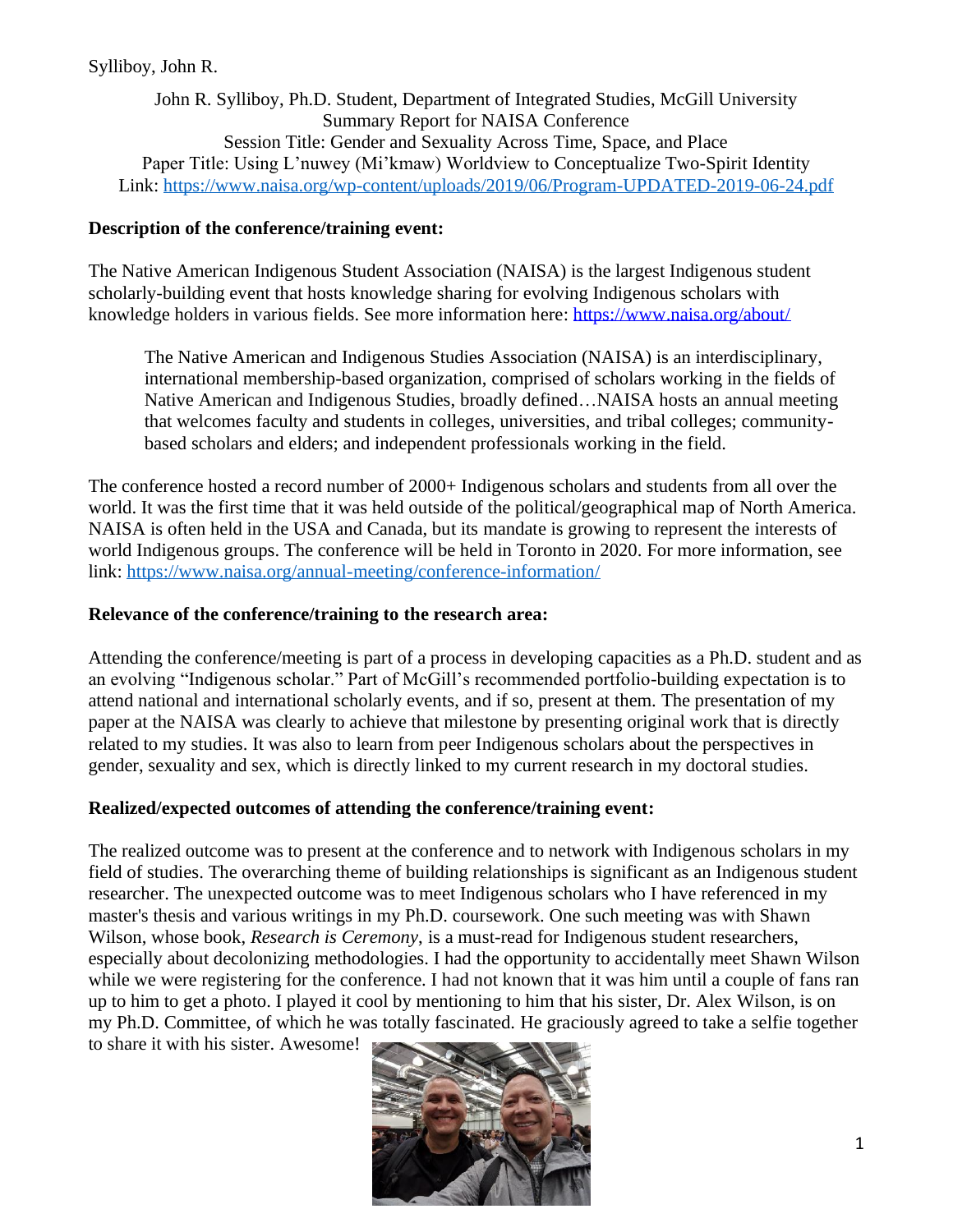## Sylliboy, John R.

John R. Sylliboy, Ph.D. Student, Department of Integrated Studies, McGill University Summary Report for NAISA Conference Session Title: Gender and Sexuality Across Time, Space, and Place Paper Title: Using L'nuwey (Mi'kmaw) Worldview to Conceptualize Two-Spirit Identity Link:<https://www.naisa.org/wp-content/uploads/2019/06/Program-UPDATED-2019-06-24.pdf>

## **Description of the conference/training event:**

The Native American Indigenous Student Association (NAISA) is the largest Indigenous student scholarly-building event that hosts knowledge sharing for evolving Indigenous scholars with knowledge holders in various fields. See more information here:<https://www.naisa.org/about/>

The Native American and Indigenous Studies Association (NAISA) is an interdisciplinary, international membership-based organization, comprised of scholars working in the fields of Native American and Indigenous Studies, broadly defined…NAISA hosts an annual meeting that welcomes faculty and students in colleges, universities, and tribal colleges; communitybased scholars and elders; and independent professionals working in the field.

The conference hosted a record number of 2000+ Indigenous scholars and students from all over the world. It was the first time that it was held outside of the political/geographical map of North America. NAISA is often held in the USA and Canada, but its mandate is growing to represent the interests of world Indigenous groups. The conference will be held in Toronto in 2020. For more information, see link:<https://www.naisa.org/annual-meeting/conference-information/>

## **Relevance of the conference/training to the research area:**

Attending the conference/meeting is part of a process in developing capacities as a Ph.D. student and as an evolving "Indigenous scholar." Part of McGill's recommended portfolio-building expectation is to attend national and international scholarly events, and if so, present at them. The presentation of my paper at the NAISA was clearly to achieve that milestone by presenting original work that is directly related to my studies. It was also to learn from peer Indigenous scholars about the perspectives in gender, sexuality and sex, which is directly linked to my current research in my doctoral studies.

#### **Realized/expected outcomes of attending the conference/training event:**

The realized outcome was to present at the conference and to network with Indigenous scholars in my field of studies. The overarching theme of building relationships is significant as an Indigenous student researcher. The unexpected outcome was to meet Indigenous scholars who I have referenced in my master's thesis and various writings in my Ph.D. coursework. One such meeting was with Shawn Wilson, whose book, *Research is Ceremony*, is a must-read for Indigenous student researchers, especially about decolonizing methodologies. I had the opportunity to accidentally meet Shawn Wilson while we were registering for the conference. I had not known that it was him until a couple of fans ran up to him to get a photo. I played it cool by mentioning to him that his sister, Dr. Alex Wilson, is on my Ph.D. Committee, of which he was totally fascinated. He graciously agreed to take a selfie together to share it with his sister. Awesome!